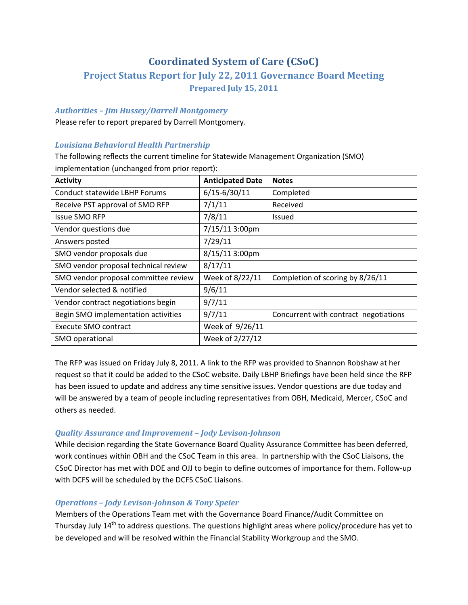# **Coordinated System of Care (CSoC)**

# **Project Status Report for July 22, 2011 Governance Board Meeting Prepared July 15, 2011**

### *Authorities – Jim Hussey/Darrell Montgomery*

Please refer to report prepared by Darrell Montgomery.

## *Louisiana Behavioral Health Partnership*

The following reflects the current timeline for Statewide Management Organization (SMO) implementation (unchanged from prior report):

| <b>Activity</b>                      | <b>Anticipated Date</b> | <b>Notes</b>                          |
|--------------------------------------|-------------------------|---------------------------------------|
| Conduct statewide LBHP Forums        | $6/15 - 6/30/11$        | Completed                             |
| Receive PST approval of SMO RFP      | 7/1/11                  | Received                              |
| <b>Issue SMO RFP</b>                 | 7/8/11                  | <b>Issued</b>                         |
| Vendor questions due                 | 7/15/11 3:00pm          |                                       |
| Answers posted                       | 7/29/11                 |                                       |
| SMO vendor proposals due             | 8/15/11 3:00pm          |                                       |
| SMO vendor proposal technical review | 8/17/11                 |                                       |
| SMO vendor proposal committee review | Week of 8/22/11         | Completion of scoring by 8/26/11      |
| Vendor selected & notified           | 9/6/11                  |                                       |
| Vendor contract negotiations begin   | 9/7/11                  |                                       |
| Begin SMO implementation activities  | 9/7/11                  | Concurrent with contract negotiations |
| Execute SMO contract                 | Week of 9/26/11         |                                       |
| SMO operational                      | Week of 2/27/12         |                                       |

The RFP was issued on Friday July 8, 2011. A link to the RFP was provided to Shannon Robshaw at her request so that it could be added to the CSoC website. Daily LBHP Briefings have been held since the RFP has been issued to update and address any time sensitive issues. Vendor questions are due today and will be answered by a team of people including representatives from OBH, Medicaid, Mercer, CSoC and others as needed.

## *Quality Assurance and Improvement – Jody LevisonJohnson*

While decision regarding the State Governance Board Quality Assurance Committee has been deferred, work continues within OBH and the CSoC Team in this area. In partnership with the CSoC Liaisons, the CSoC Director has met with DOE and OJJ to begin to define outcomes of importance for them. Follow‐up with DCFS will be scheduled by the DCFS CSoC Liaisons.

### *Operations – Jody LevisonJohnson & Tony Speier*

Members of the Operations Team met with the Governance Board Finance/Audit Committee on Thursday July  $14<sup>th</sup>$  to address questions. The questions highlight areas where policy/procedure has yet to be developed and will be resolved within the Financial Stability Workgroup and the SMO.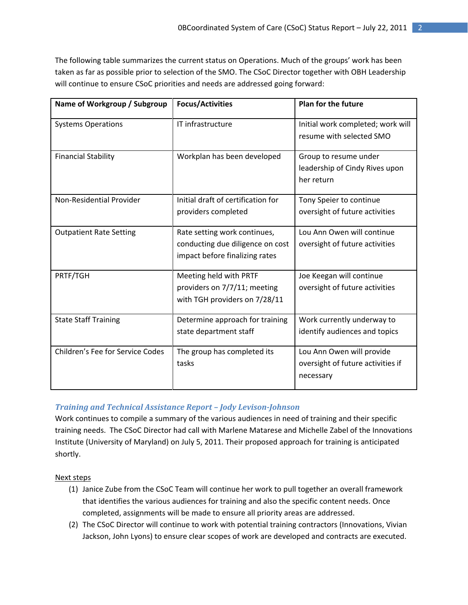The following table summarizes the current status on Operations. Much of the groups' work has been taken as far as possible prior to selection of the SMO. The CSoC Director together with OBH Leadership will continue to ensure CSoC priorities and needs are addressed going forward:

| Name of Workgroup / Subgroup     | <b>Focus/Activities</b>                                                                            | <b>Plan for the future</b>                                                  |
|----------------------------------|----------------------------------------------------------------------------------------------------|-----------------------------------------------------------------------------|
| <b>Systems Operations</b>        | IT infrastructure                                                                                  | Initial work completed; work will<br>resume with selected SMO               |
| <b>Financial Stability</b>       | Workplan has been developed                                                                        | Group to resume under<br>leadership of Cindy Rives upon<br>her return       |
| Non-Residential Provider         | Initial draft of certification for<br>providers completed                                          | Tony Speier to continue<br>oversight of future activities                   |
| <b>Outpatient Rate Setting</b>   | Rate setting work continues,<br>conducting due diligence on cost<br>impact before finalizing rates | Lou Ann Owen will continue<br>oversight of future activities                |
| PRTF/TGH                         | Meeting held with PRTF<br>providers on 7/7/11; meeting<br>with TGH providers on 7/28/11            | Joe Keegan will continue<br>oversight of future activities                  |
| <b>State Staff Training</b>      | Determine approach for training<br>state department staff                                          | Work currently underway to<br>identify audiences and topics                 |
| Children's Fee for Service Codes | The group has completed its<br>tasks                                                               | Lou Ann Owen will provide<br>oversight of future activities if<br>necessary |

### *Training and Technical Assistance Report – Jody LevisonJohnson*

Work continues to compile a summary of the various audiences in need of training and their specific training needs. The CSoC Director had call with Marlene Matarese and Michelle Zabel of the Innovations Institute (University of Maryland) on July 5, 2011. Their proposed approach for training is anticipated shortly.

Next steps

- (1) Janice Zube from the CSoC Team will continue her work to pull together an overall framework that identifies the various audiences for training and also the specific content needs. Once completed, assignments will be made to ensure all priority areas are addressed.
- (2) The CSoC Director will continue to work with potential training contractors (Innovations, Vivian Jackson, John Lyons) to ensure clear scopes of work are developed and contracts are executed.